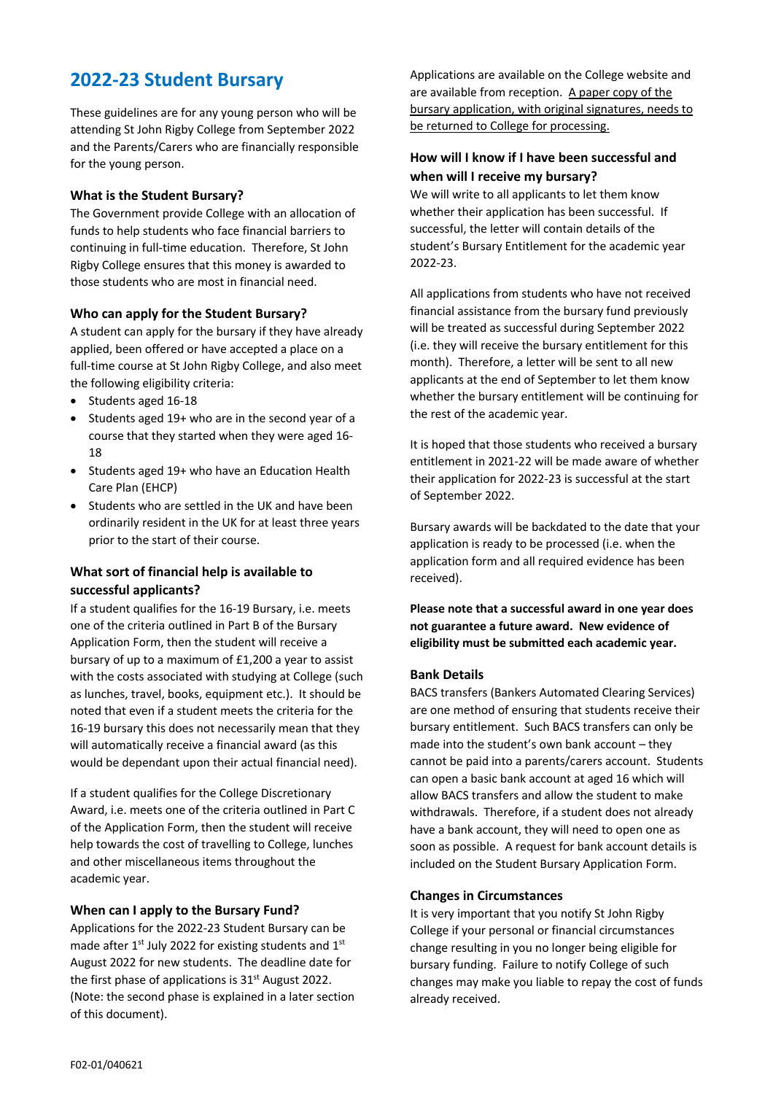# **2022-23 Student Bursary**

These guidelines are for any young person who will be attending St John Rigby College from September 2022 and the Parents/Carers who are financially responsible for the young person.

#### **What is the Student Bursary?**

The Government provide College with an allocation of funds to help students who face financial barriers to continuing in full-time education. Therefore, St John Rigby College ensures that this money is awarded to those students who are most in financial need.

#### **Who can apply for the Student Bursary?**

A student can apply for the bursary if they have already applied, been offered or have accepted a place on a full-time course at St John Rigby College, and also meet the following eligibility criteria:

- Students aged 16-18
- Students aged 19+ who are in the second year of a course that they started when they were aged 16- 18
- Students aged 19+ who have an Education Health Care Plan (EHCP)
- Students who are settled in the UK and have been ordinarily resident in the UK for at least three years prior to the start of their course.

### **What sort of financial help is available to successful applicants?**

If a student qualifies for the 16-19 Bursary, i.e. meets one of the criteria outlined in Part B of the Bursary Application Form, then the student will receive a bursary of up to a maximum of £1,200 a year to assist with the costs associated with studying at College (such as lunches, travel, books, equipment etc.). It should be noted that even if a student meets the criteria for the 16-19 bursary this does not necessarily mean that they will automatically receive a financial award (as this would be dependant upon their actual financial need).

If a student qualifies for the College Discretionary Award, i.e. meets one of the criteria outlined in Part C of the Application Form, then the student will receive help towards the cost of travelling to College, lunches and other miscellaneous items throughout the academic year.

#### **When can I apply to the Bursary Fund?**

Applications for the 2022-23 Student Bursary can be made after 1<sup>st</sup> July 2022 for existing students and 1<sup>st</sup> August 2022 for new students. The deadline date for the first phase of applications is  $31<sup>st</sup>$  August 2022. (Note: the second phase is explained in a later section of this document).

Applications are available on the College website and are available from reception. A paper copy of the bursary application, with original signatures, needs to be returned to College for processing.

### **How will I know if I have been successful and when will I receive my bursary?**

We will write to all applicants to let them know whether their application has been successful. If successful, the letter will contain details of the student's Bursary Entitlement for the academic year 2022-23.

All applications from students who have not received financial assistance from the bursary fund previously will be treated as successful during September 2022 (i.e. they will receive the bursary entitlement for this month). Therefore, a letter will be sent to all new applicants at the end of September to let them know whether the bursary entitlement will be continuing for the rest of the academic year.

It is hoped that those students who received a bursary entitlement in 2021-22 will be made aware of whether their application for 2022-23 is successful at the start of September 2022.

Bursary awards will be backdated to the date that your application is ready to be processed (i.e. when the application form and all required evidence has been received).

**Please note that a successful award in one year does not guarantee a future award. New evidence of eligibility must be submitted each academic year.**

#### **Bank Details**

BACS transfers (Bankers Automated Clearing Services) are one method of ensuring that students receive their bursary entitlement. Such BACS transfers can only be made into the student's own bank account – they cannot be paid into a parents/carers account. Students can open a basic bank account at aged 16 which will allow BACS transfers and allow the student to make withdrawals. Therefore, if a student does not already have a bank account, they will need to open one as soon as possible. A request for bank account details is included on the Student Bursary Application Form.

#### **Changes in Circumstances**

It is very important that you notify St John Rigby College if your personal or financial circumstances change resulting in you no longer being eligible for bursary funding. Failure to notify College of such changes may make you liable to repay the cost of funds already received.